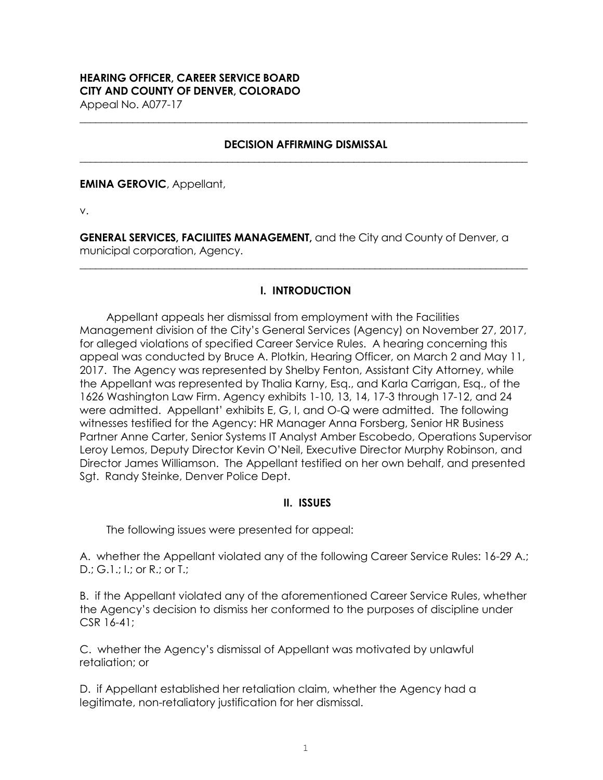# **HEARING OFFICER, CAREER SERVICE BOARD CITY AND COUNTY OF DENVER, COLORADO**

Appeal No. A077-17

#### **DECISION AFFIRMING DISMISSAL \_\_\_\_\_\_\_\_\_\_\_\_\_\_\_\_\_\_\_\_\_\_\_\_\_\_\_\_\_\_\_\_\_\_\_\_\_\_\_\_\_\_\_\_\_\_\_\_\_\_\_\_\_\_\_\_\_\_\_\_\_\_\_\_\_\_\_\_\_\_\_\_\_\_\_\_\_\_\_\_\_\_\_\_\_**

**\_\_\_\_\_\_\_\_\_\_\_\_\_\_\_\_\_\_\_\_\_\_\_\_\_\_\_\_\_\_\_\_\_\_\_\_\_\_\_\_\_\_\_\_\_\_\_\_\_\_\_\_\_\_\_\_\_\_\_\_\_\_\_\_\_\_\_\_\_\_\_\_\_\_\_\_\_\_\_\_\_\_\_\_\_**

**EMINA GEROVIC**, Appellant,

v.

**GENERAL SERVICES, FACILIITES MANAGEMENT,** and the City and County of Denver, a municipal corporation, Agency.

## **I. INTRODUCTION**

**\_\_\_\_\_\_\_\_\_\_\_\_\_\_\_\_\_\_\_\_\_\_\_\_\_\_\_\_\_\_\_\_\_\_\_\_\_\_\_\_\_\_\_\_\_\_\_\_\_\_\_\_\_\_\_\_\_\_\_\_\_\_\_\_\_\_\_\_\_\_\_\_\_\_\_\_\_\_\_\_\_\_\_\_\_**

Appellant appeals her dismissal from employment with the Facilities Management division of the City's General Services (Agency) on November 27, 2017, for alleged violations of specified Career Service Rules. A hearing concerning this appeal was conducted by Bruce A. Plotkin, Hearing Officer, on March 2 and May 11, 2017. The Agency was represented by Shelby Fenton, Assistant City Attorney, while the Appellant was represented by Thalia Karny, Esq., and Karla Carrigan, Esq., of the 1626 Washington Law Firm. Agency exhibits 1-10, 13, 14, 17-3 through 17-12, and 24 were admitted. Appellant' exhibits E, G, I, and O-Q were admitted. The following witnesses testified for the Agency: HR Manager Anna Forsberg, Senior HR Business Partner Anne Carter, Senior Systems IT Analyst Amber Escobedo, Operations Supervisor Leroy Lemos, Deputy Director Kevin O'Neil, Executive Director Murphy Robinson, and Director James Williamson. The Appellant testified on her own behalf, and presented Sgt. Randy Steinke, Denver Police Dept.

## **II. ISSUES**

The following issues were presented for appeal:

A. whether the Appellant violated any of the following Career Service Rules: 16-29 A.; D.; G.1.; I.; or R.; or T.;

B. if the Appellant violated any of the aforementioned Career Service Rules, whether the Agency's decision to dismiss her conformed to the purposes of discipline under CSR 16-41;

C. whether the Agency's dismissal of Appellant was motivated by unlawful retaliation; or

D. if Appellant established her retaliation claim, whether the Agency had a legitimate, non-retaliatory justification for her dismissal.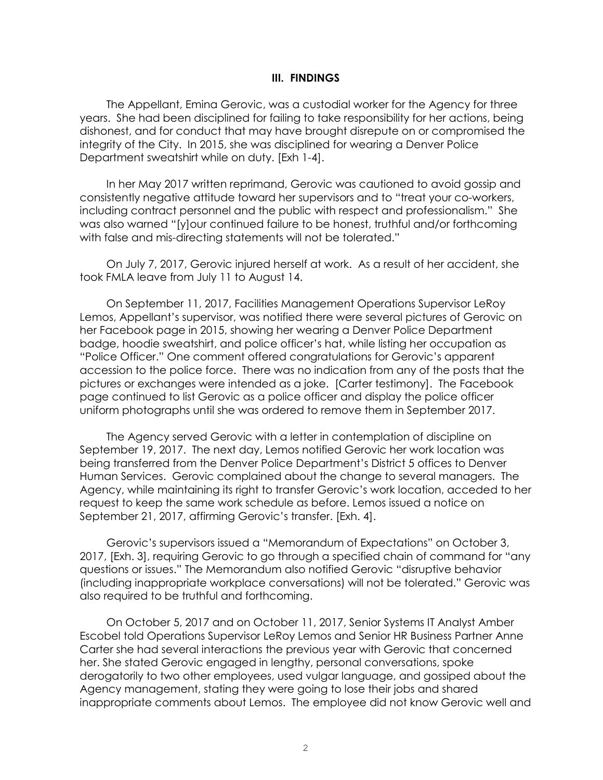#### **III. FINDINGS**

The Appellant, Emina Gerovic, was a custodial worker for the Agency for three years. She had been disciplined for failing to take responsibility for her actions, being dishonest, and for conduct that may have brought disrepute on or compromised the integrity of the City. In 2015, she was disciplined for wearing a Denver Police Department sweatshirt while on duty. [Exh 1-4].

In her May 2017 written reprimand, Gerovic was cautioned to avoid gossip and consistently negative attitude toward her supervisors and to "treat your co-workers, including contract personnel and the public with respect and professionalism." She was also warned "[y]our continued failure to be honest, truthful and/or forthcoming with false and mis-directing statements will not be tolerated."

On July 7, 2017, Gerovic injured herself at work. As a result of her accident, she took FMLA leave from July 11 to August 14.

On September 11, 2017, Facilities Management Operations Supervisor LeRoy Lemos, Appellant's supervisor, was notified there were several pictures of Gerovic on her Facebook page in 2015, showing her wearing a Denver Police Department badge, hoodie sweatshirt, and police officer's hat, while listing her occupation as "Police Officer." One comment offered congratulations for Gerovic's apparent accession to the police force. There was no indication from any of the posts that the pictures or exchanges were intended as a joke. [Carter testimony]. The Facebook page continued to list Gerovic as a police officer and display the police officer uniform photographs until she was ordered to remove them in September 2017.

The Agency served Gerovic with a letter in contemplation of discipline on September 19, 2017. The next day, Lemos notified Gerovic her work location was being transferred from the Denver Police Department's District 5 offices to Denver Human Services. Gerovic complained about the change to several managers. The Agency, while maintaining its right to transfer Gerovic's work location, acceded to her request to keep the same work schedule as before. Lemos issued a notice on September 21, 2017, affirming Gerovic's transfer. [Exh. 4].

Gerovic's supervisors issued a "Memorandum of Expectations" on October 3, 2017, [Exh. 3], requiring Gerovic to go through a specified chain of command for "any questions or issues." The Memorandum also notified Gerovic "disruptive behavior (including inappropriate workplace conversations) will not be tolerated." Gerovic was also required to be truthful and forthcoming.

On October 5, 2017 and on October 11, 2017, Senior Systems IT Analyst Amber Escobel told Operations Supervisor LeRoy Lemos and Senior HR Business Partner Anne Carter she had several interactions the previous year with Gerovic that concerned her. She stated Gerovic engaged in lengthy, personal conversations, spoke derogatorily to two other employees, used vulgar language, and gossiped about the Agency management, stating they were going to lose their jobs and shared inappropriate comments about Lemos. The employee did not know Gerovic well and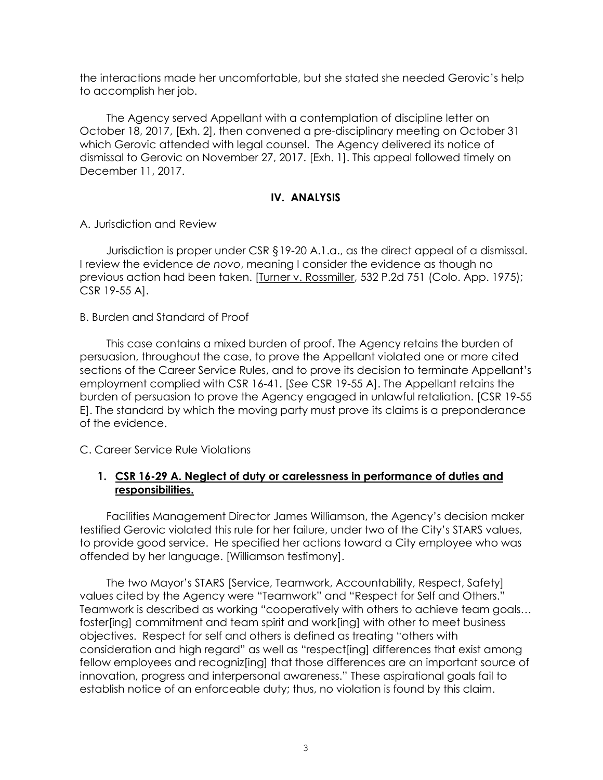the interactions made her uncomfortable, but she stated she needed Gerovic's help to accomplish her job.

The Agency served Appellant with a contemplation of discipline letter on October 18, 2017, [Exh. 2], then convened a pre-disciplinary meeting on October 31 which Gerovic attended with legal counsel. The Agency delivered its notice of dismissal to Gerovic on November 27, 2017. [Exh. 1]. This appeal followed timely on December 11, 2017.

## **IV. ANALYSIS**

A. Jurisdiction and Review

Jurisdiction is proper under CSR §19-20 A.1.a., as the direct appeal of a dismissal. I review the evidence *de novo*, meaning I consider the evidence as though no previous action had been taken. [Turner v. Rossmiller, 532 P.2d 751 (Colo. App. 1975); CSR 19-55 A].

B. Burden and Standard of Proof

This case contains a mixed burden of proof. The Agency retains the burden of persuasion, throughout the case, to prove the Appellant violated one or more cited sections of the Career Service Rules, and to prove its decision to terminate Appellant's employment complied with CSR 16-41. [*See* CSR 19-55 A]. The Appellant retains the burden of persuasion to prove the Agency engaged in unlawful retaliation. [CSR 19-55 E]. The standard by which the moving party must prove its claims is a preponderance of the evidence.

C. Career Service Rule Violations

## **1. CSR 16-29 A. Neglect of duty or carelessness in performance of duties and responsibilities.**

Facilities Management Director James Williamson, the Agency's decision maker testified Gerovic violated this rule for her failure, under two of the City's STARS values, to provide good service. He specified her actions toward a City employee who was offended by her language. [Williamson testimony].

The two Mayor's STARS [Service, Teamwork, Accountability, Respect, Safety] values cited by the Agency were "Teamwork" and "Respect for Self and Others." Teamwork is described as working "cooperatively with others to achieve team goals… foster[ing] commitment and team spirit and work[ing] with other to meet business objectives. Respect for self and others is defined as treating "others with consideration and high regard" as well as "respect[ing] differences that exist among fellow employees and recogniz [ing] that those differences are an important source of innovation, progress and interpersonal awareness." These aspirational goals fail to establish notice of an enforceable duty; thus, no violation is found by this claim.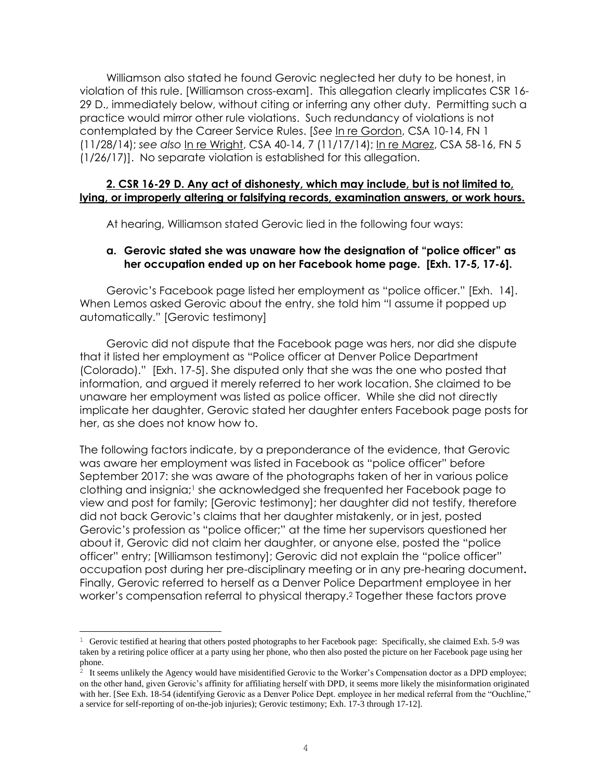Williamson also stated he found Gerovic neglected her duty to be honest, in violation of this rule. [Williamson cross-exam]. This allegation clearly implicates CSR 16- 29 D., immediately below, without citing or inferring any other duty. Permitting such a practice would mirror other rule violations. Such redundancy of violations is not contemplated by the Career Service Rules. [*See* In re Gordon, CSA 10-14, FN 1 (11/28/14); *see also* In re Wright, CSA 40-14, 7 (11/17/14); In re Marez, CSA 58-16, FN 5 (1/26/17)]. No separate violation is established for this allegation.

#### **2. CSR 16-29 D. Any act of dishonesty, which may include, but is not limited to, lying, or improperly altering or falsifying records, examination answers, or work hours.**

At hearing, Williamson stated Gerovic lied in the following four ways:

## **a. Gerovic stated she was unaware how the designation of "police officer" as her occupation ended up on her Facebook home page. [Exh. 17-5, 17-6].**

Gerovic's Facebook page listed her employment as "police officer." [Exh. 14]. When Lemos asked Gerovic about the entry, she told him "I assume it popped up automatically." [Gerovic testimony]

Gerovic did not dispute that the Facebook page was hers, nor did she dispute that it listed her employment as "Police officer at Denver Police Department (Colorado)." [Exh. 17-5]. She disputed only that she was the one who posted that information, and argued it merely referred to her work location. She claimed to be unaware her employment was listed as police officer. While she did not directly implicate her daughter, Gerovic stated her daughter enters Facebook page posts for her, as she does not know how to.

The following factors indicate, by a preponderance of the evidence, that Gerovic was aware her employment was listed in Facebook as "police officer" before September 2017: she was aware of the photographs taken of her in various police clothing and insignia;<sup>1</sup> she acknowledged she frequented her Facebook page to view and post for family; [Gerovic testimony]; her daughter did not testify, therefore did not back Gerovic's claims that her daughter mistakenly, or in jest, posted Gerovic's profession as "police officer;" at the time her supervisors questioned her about it, Gerovic did not claim her daughter, or anyone else, posted the "police officer" entry; [Williamson testimony]; Gerovic did not explain the "police officer" occupation post during her pre-disciplinary meeting or in any pre-hearing document**.**  Finally, Gerovic referred to herself as a Denver Police Department employee in her worker's compensation referral to physical therapy. <sup>2</sup> Together these factors prove

L

<sup>&</sup>lt;sup>1</sup> Gerovic testified at hearing that others posted photographs to her Facebook page: Specifically, she claimed Exh. 5-9 was taken by a retiring police officer at a party using her phone, who then also posted the picture on her Facebook page using her phone.

<sup>&</sup>lt;sup>2</sup> It seems unlikely the Agency would have misidentified Gerovic to the Worker's Compensation doctor as a DPD employee; on the other hand, given Gerovic's affinity for affiliating herself with DPD, it seems more likely the misinformation originated with her. [See Exh. 18-54 (identifying Gerovic as a Denver Police Dept. employee in her medical referral from the "Ouchline," a service for self-reporting of on-the-job injuries); Gerovic testimony; Exh. 17-3 through 17-12].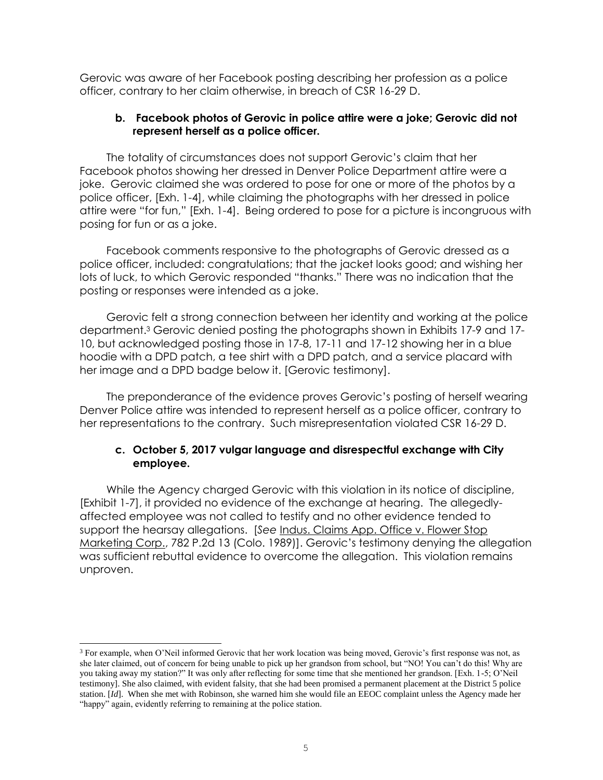Gerovic was aware of her Facebook posting describing her profession as a police officer, contrary to her claim otherwise, in breach of CSR 16-29 D.

## **b. Facebook photos of Gerovic in police attire were a joke; Gerovic did not represent herself as a police officer.**

The totality of circumstances does not support Gerovic's claim that her Facebook photos showing her dressed in Denver Police Department attire were a joke. Gerovic claimed she was ordered to pose for one or more of the photos by a police officer, [Exh. 1-4], while claiming the photographs with her dressed in police attire were "for fun," [Exh. 1-4]. Being ordered to pose for a picture is incongruous with posing for fun or as a joke.

Facebook comments responsive to the photographs of Gerovic dressed as a police officer, included: congratulations; that the jacket looks good; and wishing her lots of luck, to which Gerovic responded "thanks." There was no indication that the posting or responses were intended as a joke.

Gerovic felt a strong connection between her identity and working at the police department. <sup>3</sup> Gerovic denied posting the photographs shown in Exhibits 17-9 and 17- 10, but acknowledged posting those in 17-8, 17-11 and 17-12 showing her in a blue hoodie with a DPD patch, a tee shirt with a DPD patch, and a service placard with her image and a DPD badge below it. [Gerovic testimony].

The preponderance of the evidence proves Gerovic's posting of herself wearing Denver Police attire was intended to represent herself as a police officer, contrary to her representations to the contrary. Such misrepresentation violated CSR 16-29 D.

## **c. October 5, 2017 vulgar language and disrespectful exchange with City employee.**

While the Agency charged Gerovic with this violation in its notice of discipline, [Exhibit 1-7], it provided no evidence of the exchange at hearing. The allegedlyaffected employee was not called to testify and no other evidence tended to support the hearsay allegations. [See <u>Indus. Claims App. Office v. Flower Stop</u> Marketing Corp., 782 P.2d 13 (Colo. 1989)]. Gerovic's testimony denying the allegation was sufficient rebuttal evidence to overcome the allegation. This violation remains unproven.

L,

<sup>&</sup>lt;sup>3</sup> For example, when O'Neil informed Gerovic that her work location was being moved, Gerovic's first response was not, as she later claimed, out of concern for being unable to pick up her grandson from school, but "NO! You can't do this! Why are you taking away my station?" It was only after reflecting for some time that she mentioned her grandson. [Exh. 1-5; O'Neil testimony]. She also claimed, with evident falsity, that she had been promised a permanent placement at the District 5 police station. [*Id*]. When she met with Robinson, she warned him she would file an EEOC complaint unless the Agency made her "happy" again, evidently referring to remaining at the police station.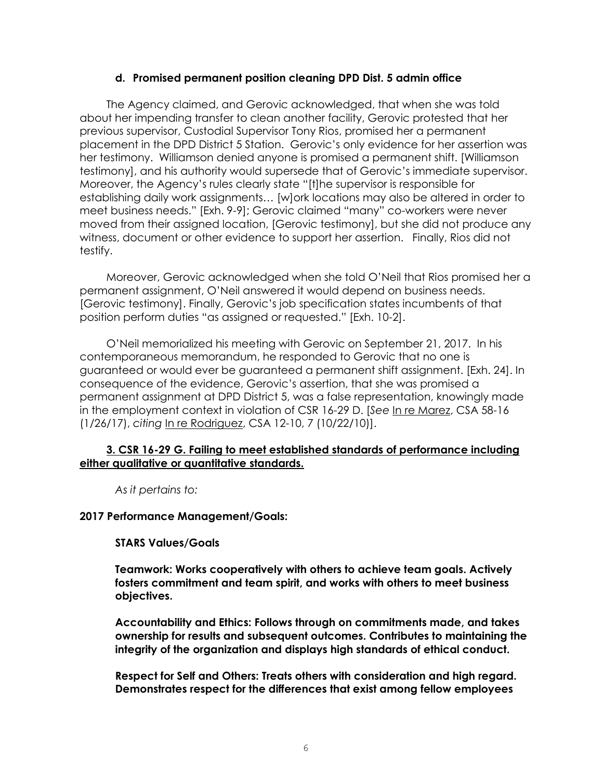#### **d. Promised permanent position cleaning DPD Dist. 5 admin office**

The Agency claimed, and Gerovic acknowledged, that when she was told about her impending transfer to clean another facility, Gerovic protested that her previous supervisor, Custodial Supervisor Tony Rios, promised her a permanent placement in the DPD District 5 Station. Gerovic's only evidence for her assertion was her testimony. Williamson denied anyone is promised a permanent shift. [Williamson testimony], and his authority would supersede that of Gerovic's immediate supervisor. Moreover, the Agency's rules clearly state "[t]he supervisor is responsible for establishing daily work assignments… [w]ork locations may also be altered in order to meet business needs." [Exh. 9-9]; Gerovic claimed "many" co-workers were never moved from their assigned location, [Gerovic testimony], but she did not produce any witness, document or other evidence to support her assertion. Finally, Rios did not testify.

Moreover, Gerovic acknowledged when she told O'Neil that Rios promised her a permanent assignment, O'Neil answered it would depend on business needs. [Gerovic testimony]. Finally, Gerovic's job specification states incumbents of that position perform duties "as assigned or requested." [Exh. 10-2].

O'Neil memorialized his meeting with Gerovic on September 21, 2017. In his contemporaneous memorandum, he responded to Gerovic that no one is guaranteed or would ever be guaranteed a permanent shift assignment. [Exh. 24]. In consequence of the evidence, Gerovic's assertion, that she was promised a permanent assignment at DPD District 5, was a false representation, knowingly made in the employment context in violation of CSR 16-29 D. [*See* In re Marez, CSA 58-16 (1/26/17), *citing* In re Rodriguez, CSA 12-10, 7 (10/22/10)].

## **3. CSR 16-29 G. Failing to meet established standards of performance including either qualitative or quantitative standards.**

*As it pertains to:*

## **2017 Performance Management/Goals:**

# **STARS Values/Goals**

**Teamwork: Works cooperatively with others to achieve team goals. Actively fosters commitment and team spirit, and works with others to meet business objectives.** 

**Accountability and Ethics: Follows through on commitments made, and takes ownership for results and subsequent outcomes. Contributes to maintaining the integrity of the organization and displays high standards of ethical conduct.** 

**Respect for Self and Others: Treats others with consideration and high regard. Demonstrates respect for the differences that exist among fellow employees**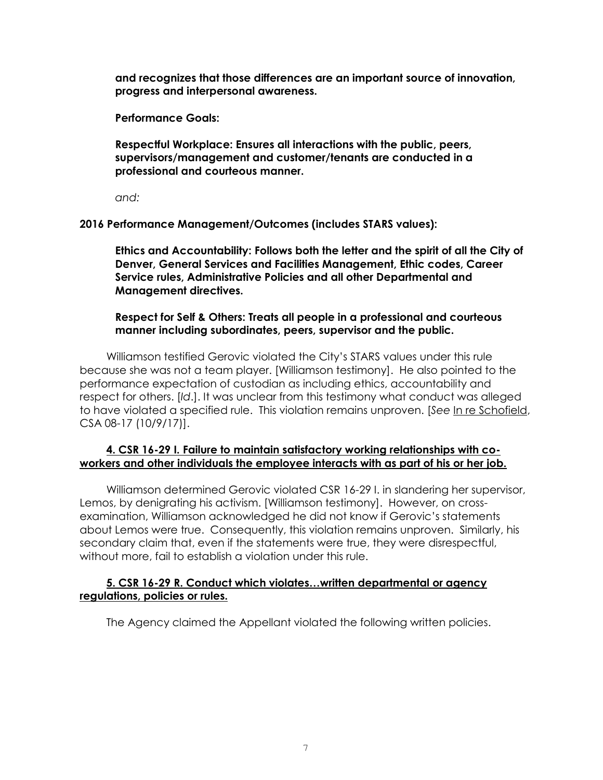**and recognizes that those differences are an important source of innovation, progress and interpersonal awareness.** 

**Performance Goals:**

**Respectful Workplace: Ensures all interactions with the public, peers, supervisors/management and customer/tenants are conducted in a professional and courteous manner.** 

*and:*

**2016 Performance Management/Outcomes (includes STARS values):** 

**Ethics and Accountability: Follows both the letter and the spirit of all the City of Denver, General Services and Facilities Management, Ethic codes, Career Service rules, Administrative Policies and all other Departmental and Management directives.** 

**Respect for Self & Others: Treats all people in a professional and courteous manner including subordinates, peers, supervisor and the public.** 

Williamson testified Gerovic violated the City's STARS values under this rule because she was not a team player. [Williamson testimony]. He also pointed to the performance expectation of custodian as including ethics, accountability and respect for others. [*Id*.]. It was unclear from this testimony what conduct was alleged to have violated a specified rule. This violation remains unproven. [*See* In re Schofield, CSA 08-17 (10/9/17)].

# **4. CSR 16-29 I. Failure to maintain satisfactory working relationships with coworkers and other individuals the employee interacts with as part of his or her job.**

Williamson determined Gerovic violated CSR 16-29 I. in slandering her supervisor, Lemos, by denigrating his activism. [Williamson testimony]. However, on crossexamination, Williamson acknowledged he did not know if Gerovic's statements about Lemos were true. Consequently, this violation remains unproven. Similarly, his secondary claim that, even if the statements were true, they were disrespectful, without more, fail to establish a violation under this rule.

## **5. CSR 16-29 R. Conduct which violates…written departmental or agency regulations, policies or rules.**

The Agency claimed the Appellant violated the following written policies.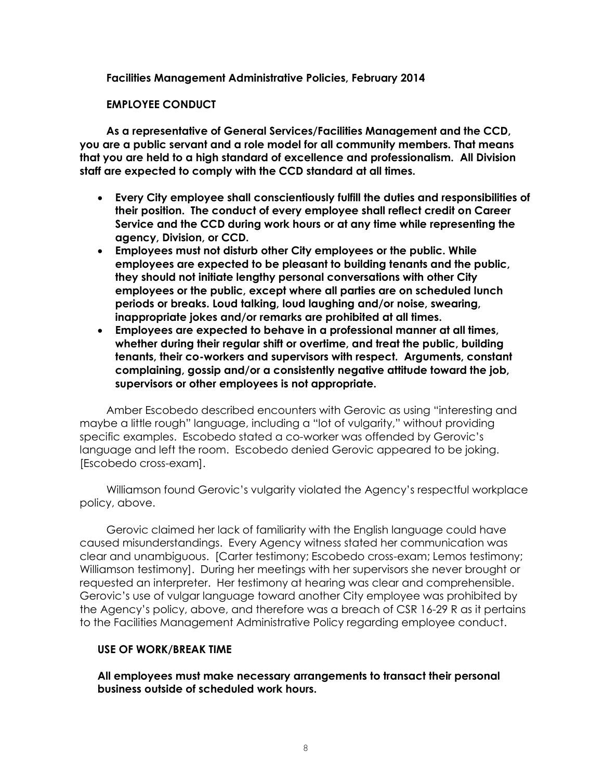**Facilities Management Administrative Policies, February 2014**

### **EMPLOYEE CONDUCT**

**As a representative of General Services/Facilities Management and the CCD, you are a public servant and a role model for all community members. That means that you are held to a high standard of excellence and professionalism. All Division staff are expected to comply with the CCD standard at all times.** 

- **Every City employee shall conscientiously fulfill the duties and responsibilities of their position. The conduct of every employee shall reflect credit on Career Service and the CCD during work hours or at any time while representing the agency, Division, or CCD.**
- **Employees must not disturb other City employees or the public. While employees are expected to be pleasant to building tenants and the public, they should not initiate lengthy personal conversations with other City employees or the public, except where all parties are on scheduled lunch periods or breaks. Loud talking, loud laughing and/or noise, swearing, inappropriate jokes and/or remarks are prohibited at all times.**
- **Employees are expected to behave in a professional manner at all times, whether during their regular shift or overtime, and treat the public, building tenants, their co-workers and supervisors with respect. Arguments, constant complaining, gossip and/or a consistently negative attitude toward the job, supervisors or other employees is not appropriate.**

Amber Escobedo described encounters with Gerovic as using "interesting and maybe a little rough" language, including a "lot of vulgarity," without providing specific examples. Escobedo stated a co-worker was offended by Gerovic's language and left the room. Escobedo denied Gerovic appeared to be joking. [Escobedo cross-exam].

Williamson found Gerovic's vulgarity violated the Agency's respectful workplace policy, above.

Gerovic claimed her lack of familiarity with the English language could have caused misunderstandings. Every Agency witness stated her communication was clear and unambiguous. [Carter testimony; Escobedo cross-exam; Lemos testimony; Williamson testimony]. During her meetings with her supervisors she never brought or requested an interpreter. Her testimony at hearing was clear and comprehensible. Gerovic's use of vulgar language toward another City employee was prohibited by the Agency's policy, above, and therefore was a breach of CSR 16-29 R as it pertains to the Facilities Management Administrative Policy regarding employee conduct.

## **USE OF WORK/BREAK TIME**

**All employees must make necessary arrangements to transact their personal business outside of scheduled work hours.**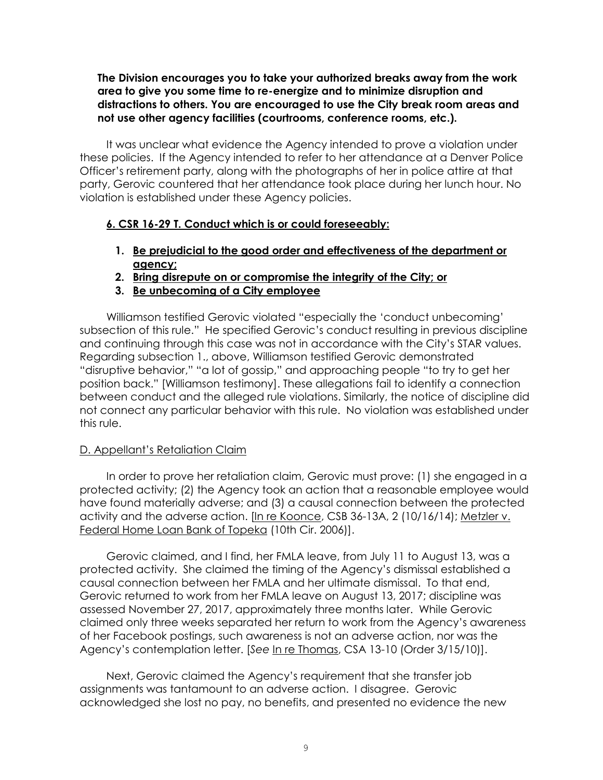**The Division encourages you to take your authorized breaks away from the work area to give you some time to re-energize and to minimize disruption and distractions to others. You are encouraged to use the City break room areas and not use other agency facilities (courtrooms, conference rooms, etc.).** 

It was unclear what evidence the Agency intended to prove a violation under these policies. If the Agency intended to refer to her attendance at a Denver Police Officer's retirement party, along with the photographs of her in police attire at that party, Gerovic countered that her attendance took place during her lunch hour. No violation is established under these Agency policies.

# **6. CSR 16-29 T. Conduct which is or could foreseeably:**

- **1. Be prejudicial to the good order and effectiveness of the department or agency;**
- **2. Bring disrepute on or compromise the integrity of the City; or**
- **3. Be unbecoming of a City employee**

Williamson testified Gerovic violated "especially the 'conduct unbecoming' subsection of this rule." He specified Gerovic's conduct resulting in previous discipline and continuing through this case was not in accordance with the City's STAR values. Regarding subsection 1., above, Williamson testified Gerovic demonstrated "disruptive behavior," "a lot of gossip," and approaching people "to try to get her position back." [Williamson testimony]. These allegations fail to identify a connection between conduct and the alleged rule violations. Similarly, the notice of discipline did not connect any particular behavior with this rule. No violation was established under this rule.

## D. Appellant's Retaliation Claim

In order to prove her retaliation claim, Gerovic must prove: (1) she engaged in a protected activity; (2) the Agency took an action that a reasonable employee would have found materially adverse; and (3) a causal connection between the protected activity and the adverse action. [In re Koonce, CSB 36-13A, 2 (10/16/14); Metzler v. Federal Home Loan Bank of Topeka (10th Cir. 2006)].

Gerovic claimed, and I find, her FMLA leave, from July 11 to August 13, was a protected activity. She claimed the timing of the Agency's dismissal established a causal connection between her FMLA and her ultimate dismissal. To that end, Gerovic returned to work from her FMLA leave on August 13, 2017; discipline was assessed November 27, 2017, approximately three months later. While Gerovic claimed only three weeks separated her return to work from the Agency's awareness of her Facebook postings, such awareness is not an adverse action, nor was the Agency's contemplation letter. [*See* In re Thomas, CSA 13-10 (Order 3/15/10)].

Next, Gerovic claimed the Agency's requirement that she transfer job assignments was tantamount to an adverse action. I disagree. Gerovic acknowledged she lost no pay, no benefits, and presented no evidence the new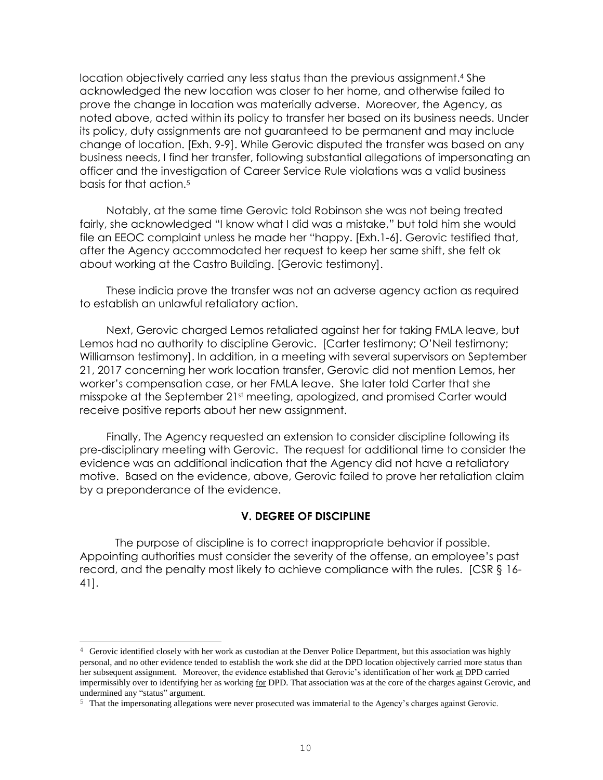location objectively carried any less status than the previous assignment. <sup>4</sup> She acknowledged the new location was closer to her home, and otherwise failed to prove the change in location was materially adverse. Moreover, the Agency, as noted above, acted within its policy to transfer her based on its business needs. Under its policy, duty assignments are not guaranteed to be permanent and may include change of location. [Exh. 9-9]. While Gerovic disputed the transfer was based on any business needs, I find her transfer, following substantial allegations of impersonating an officer and the investigation of Career Service Rule violations was a valid business basis for that action.<sup>5</sup>

Notably, at the same time Gerovic told Robinson she was not being treated fairly, she acknowledged "I know what I did was a mistake," but told him she would file an EEOC complaint unless he made her "happy. [Exh.1-6]. Gerovic testified that, after the Agency accommodated her request to keep her same shift, she felt ok about working at the Castro Building. [Gerovic testimony].

These indicia prove the transfer was not an adverse agency action as required to establish an unlawful retaliatory action.

Next, Gerovic charged Lemos retaliated against her for taking FMLA leave, but Lemos had no authority to discipline Gerovic. [Carter testimony; O'Neil testimony; Williamson testimony]. In addition, in a meeting with several supervisors on September 21, 2017 concerning her work location transfer, Gerovic did not mention Lemos, her worker's compensation case, or her FMLA leave. She later told Carter that she misspoke at the September 21st meeting, apologized, and promised Carter would receive positive reports about her new assignment.

Finally, The Agency requested an extension to consider discipline following its pre-disciplinary meeting with Gerovic. The request for additional time to consider the evidence was an additional indication that the Agency did not have a retaliatory motive. Based on the evidence, above, Gerovic failed to prove her retaliation claim by a preponderance of the evidence.

## **V. DEGREE OF DISCIPLINE**

The purpose of discipline is to correct inappropriate behavior if possible. Appointing authorities must consider the severity of the offense, an employee's past record, and the penalty most likely to achieve compliance with the rules. [CSR § 16- 41].

L

 $4\,$  Gerovic identified closely with her work as custodian at the Denver Police Department, but this association was highly personal, and no other evidence tended to establish the work she did at the DPD location objectively carried more status than her subsequent assignment. Moreover, the evidence established that Gerovic's identification of her work at DPD carried impermissibly over to identifying her as working for DPD. That association was at the core of the charges against Gerovic, and undermined any "status" argument.

<sup>5</sup> That the impersonating allegations were never prosecuted was immaterial to the Agency's charges against Gerovic.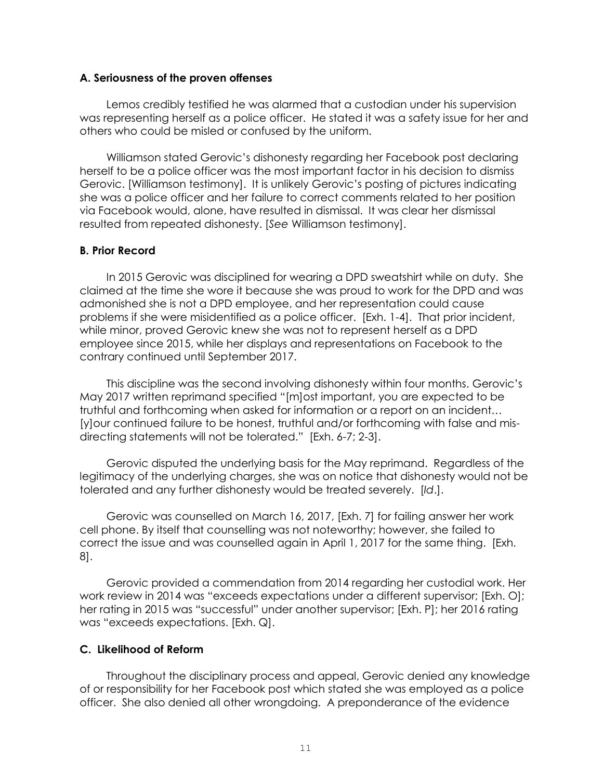#### **A. Seriousness of the proven offenses**

Lemos credibly testified he was alarmed that a custodian under his supervision was representing herself as a police officer. He stated it was a safety issue for her and others who could be misled or confused by the uniform.

Williamson stated Gerovic's dishonesty regarding her Facebook post declaring herself to be a police officer was the most important factor in his decision to dismiss Gerovic. [Williamson testimony]. It is unlikely Gerovic's posting of pictures indicating she was a police officer and her failure to correct comments related to her position via Facebook would, alone, have resulted in dismissal. It was clear her dismissal resulted from repeated dishonesty. [*See* Williamson testimony].

## **B. Prior Record**

In 2015 Gerovic was disciplined for wearing a DPD sweatshirt while on duty. She claimed at the time she wore it because she was proud to work for the DPD and was admonished she is not a DPD employee, and her representation could cause problems if she were misidentified as a police officer. [Exh. 1-4]. That prior incident, while minor, proved Gerovic knew she was not to represent herself as a DPD employee since 2015, while her displays and representations on Facebook to the contrary continued until September 2017.

This discipline was the second involving dishonesty within four months. Gerovic's May 2017 written reprimand specified "[m]ost important, you are expected to be truthful and forthcoming when asked for information or a report on an incident… [y]our continued failure to be honest, truthful and/or forthcoming with false and misdirecting statements will not be tolerated." [Exh. 6-7; 2-3].

Gerovic disputed the underlying basis for the May reprimand. Regardless of the legitimacy of the underlying charges, she was on notice that dishonesty would not be tolerated and any further dishonesty would be treated severely. [*Id*.].

Gerovic was counselled on March 16, 2017, [Exh. 7] for failing answer her work cell phone. By itself that counselling was not noteworthy; however, she failed to correct the issue and was counselled again in April 1, 2017 for the same thing. [Exh. 8].

Gerovic provided a commendation from 2014 regarding her custodial work. Her work review in 2014 was "exceeds expectations under a different supervisor; [Exh. O]; her rating in 2015 was "successful" under another supervisor; [Exh. P]; her 2016 rating was "exceeds expectations. [Exh. Q].

# **C. Likelihood of Reform**

Throughout the disciplinary process and appeal, Gerovic denied any knowledge of or responsibility for her Facebook post which stated she was employed as a police officer. She also denied all other wrongdoing. A preponderance of the evidence